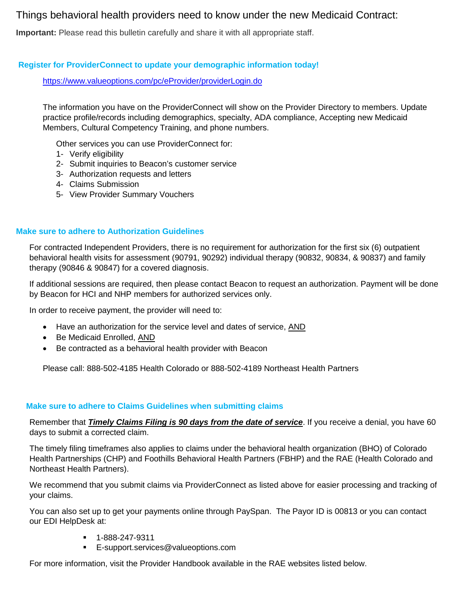# Things behavioral health providers need to know under the new Medicaid Contract:

**Important:** Please read this bulletin carefully and share it with all appropriate staff.

# **Register for ProviderConnect to update your demographic information today!**

<https://www.valueoptions.com/pc/eProvider/providerLogin.do>

The information you have on the ProviderConnect will show on the Provider Directory to members. Update practice profile/records including demographics, specialty, ADA compliance, Accepting new Medicaid Members, Cultural Competency Training, and phone numbers.

Other services you can use ProviderConnect for:

- 1- Verify eligibility
- 2- Submit inquiries to Beacon's customer service
- 3- Authorization requests and letters
- 4- Claims Submission
- 5- View Provider Summary Vouchers

### **Make sure to adhere to Authorization Guidelines**

For contracted Independent Providers, there is no requirement for authorization for the first six (6) outpatient behavioral health visits for assessment (90791, 90292) individual therapy (90832, 90834, & 90837) and family therapy (90846 & 90847) for a covered diagnosis.

If additional sessions are required, then please contact Beacon to request an authorization. Payment will be done by Beacon for HCI and NHP members for authorized services only.

In order to receive payment, the provider will need to:

- Have an authorization for the service level and dates of service, AND
- Be Medicaid Enrolled, AND
- Be contracted as a behavioral health provider with Beacon

Please call: 888-502-4185 Health Colorado or 888-502-4189 Northeast Health Partners

#### **Make sure to adhere to Claims Guidelines when submitting claims**

Remember that *Timely Claims Filing is 90 days from the date of service*. If you receive a denial, you have 60 days to submit a corrected claim.

The timely filing timeframes also applies to claims under the behavioral health organization (BHO) of Colorado Health Partnerships (CHP) and Foothills Behavioral Health Partners (FBHP) and the RAE (Health Colorado and Northeast Health Partners).

We recommend that you submit claims via ProviderConnect as listed above for easier processing and tracking of your claims.

You can also set up to get your payments online through PaySpan. The Payor ID is 00813 or you can contact our EDI HelpDesk at:

- 1-888-247-9311
- **E-support.services@valueoptions.com**

For more information, visit the Provider Handbook available in the RAE websites listed below.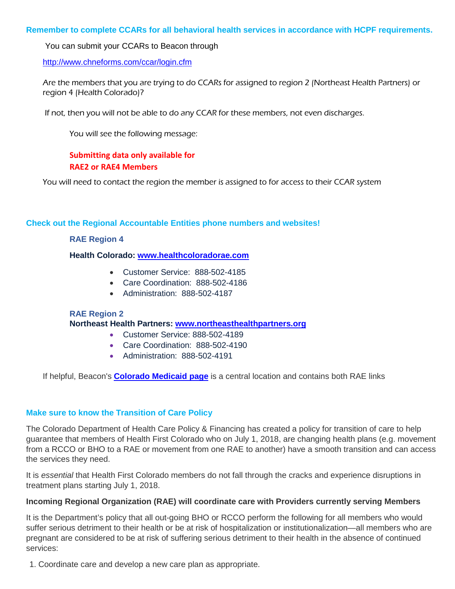### **Remember to complete CCARs for all behavioral health services in accordance with HCPF requirements.**

You can submit your CCARs to Beacon through

<http://www.chneforms.com/ccar/login.cfm>

Are the members that you are trying to do CCARs for assigned to region 2 (Northeast Health Partners) or region 4 (Health Colorado)?

If not, then you will not be able to do any CCAR for these members, not even discharges.

You will see the following message:

# **Submitting data only available for RAE2 or RAE4 Members**

You will need to contact the region the member is assigned to for access to their CCAR system

#### **Check out the Regional Accountable Entities phone numbers and websites!**

#### **RAE Region 4**

#### **Health Colorado: [www.healthcoloradorae.com](http://r20.rs6.net/tn.jsp?f=001ENp81LXBNCkyBW1bZH1P_AfKptTmD61ldX8qwHN46I3fI6N_P7bu9XxquM13hbV5zHC-PXYzzrztTqvL6Z2vRVQqX1Bfnda2kSysuKwPnLtVdzH3jVEw4Fqt1HeFgRYjaRQbG9pcUJuhGZm9rOl3fIUox_OD9kSg&c=ttkXmXQDZn5z703_NCJR8YtRoSNcfCAtPG_H-i9DpU-oAg3S5TUhMw==&ch=2d4r9Ef025FS5KDytAJ6Nnck0bQWy0J8JQAQaIicSjGfxImLNxXJeA==)**

- Customer Service: 888-502-4185
- Care Coordination: 888-502-4186
- Administration: 888-502-4187

#### **RAE Region 2**

#### **Northeast Health Partners: [www.northeasthealthpartners.org](http://r20.rs6.net/tn.jsp?f=001ENp81LXBNCkyBW1bZH1P_AfKptTmD61ldX8qwHN46I3fI6N_P7bu9XxquM13hbV5g6p42gjpxsIZV4SuBqh7FlWlRxeWpvVOjtEzPQ0uaBNEpy30SBAE1fqnuCNOXbBzLbTueFWn1DrFcnROjKC33RcVnKQxg6imLB_sI9ne3m4=&c=ttkXmXQDZn5z703_NCJR8YtRoSNcfCAtPG_H-i9DpU-oAg3S5TUhMw==&ch=2d4r9Ef025FS5KDytAJ6Nnck0bQWy0J8JQAQaIicSjGfxImLNxXJeA==)**

- Customer Service: 888-502-4189
- Care Coordination: 888-502-4190
- Administration: 888-502-4191

If helpful, Beacon's **[Colorado Medicaid page](http://r20.rs6.net/tn.jsp?f=001ENp81LXBNCkyBW1bZH1P_AfKptTmD61ldX8qwHN46I3fI6N_P7bu9XxquM13hbV5VO0qmWgO5f8gKT6c05-WWsGHOP0wGt6PugfzXQxbuyeU1WxCg5ncrwEjallUGSJNJ__zZucTOlmaHGVIFdVc2c3p3cWHX74VeK3pFoSzct9CUhNyCm5wnFOdV1teVmUJnNo-F58DfQOoz4rnU1ddx4kZOtansh2yiiUrQ2WRPLg=&c=ttkXmXQDZn5z703_NCJR8YtRoSNcfCAtPG_H-i9DpU-oAg3S5TUhMw==&ch=2d4r9Ef025FS5KDytAJ6Nnck0bQWy0J8JQAQaIicSjGfxImLNxXJeA==)** is a central location and contains both RAE links

#### **Make sure to know the Transition of Care Policy**

The Colorado Department of Health Care Policy & Financing has created a policy for transition of care to help guarantee that members of Health First Colorado who on July 1, 2018, are changing health plans (e.g. movement from a RCCO or BHO to a RAE or movement from one RAE to another) have a smooth transition and can access the services they need.

It is *essential* that Health First Colorado members do not fall through the cracks and experience disruptions in treatment plans starting July 1, 2018.

#### **Incoming Regional Organization (RAE) will coordinate care with Providers currently serving Members**

It is the Department's policy that all out-going BHO or RCCO perform the following for all members who would suffer serious detriment to their health or be at risk of hospitalization or institutionalization—all members who are pregnant are considered to be at risk of suffering serious detriment to their health in the absence of continued services:

1. Coordinate care and develop a new care plan as appropriate.